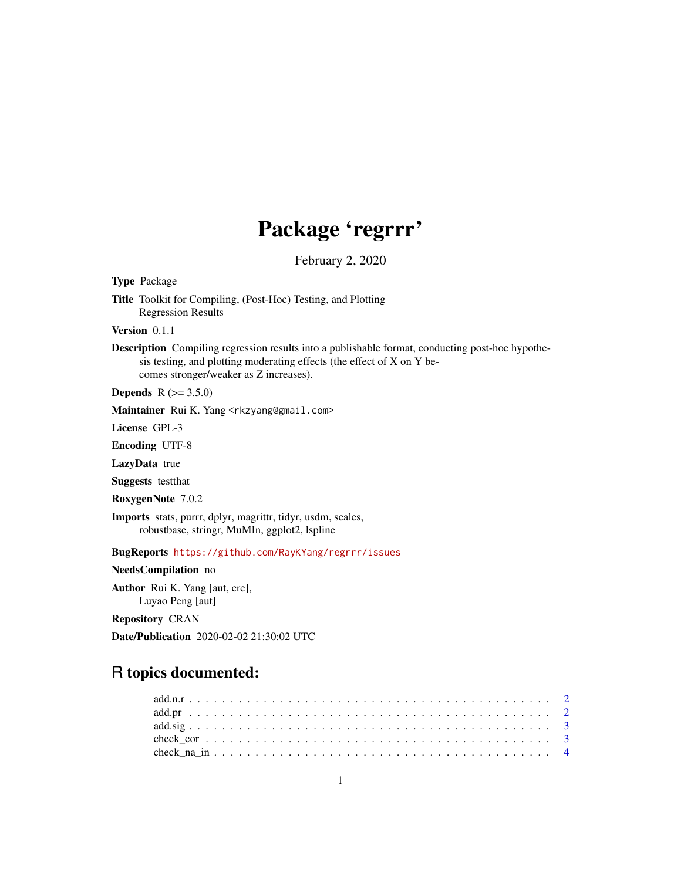# Package 'regrrr'

February 2, 2020

Type Package Title Toolkit for Compiling, (Post-Hoc) Testing, and Plotting Regression Results

Version 0.1.1

Description Compiling regression results into a publishable format, conducting post-hoc hypothesis testing, and plotting moderating effects (the effect of X on Y becomes stronger/weaker as Z increases).

**Depends**  $R (= 3.5.0)$ 

Maintainer Rui K. Yang <rkzyang@gmail.com>

License GPL-3

Encoding UTF-8

LazyData true

Suggests testthat

RoxygenNote 7.0.2

Imports stats, purrr, dplyr, magrittr, tidyr, usdm, scales, robustbase, stringr, MuMIn, ggplot2, lspline

BugReports <https://github.com/RayKYang/regrrr/issues>

NeedsCompilation no

Author Rui K. Yang [aut, cre], Luyao Peng [aut]

Repository CRAN

Date/Publication 2020-02-02 21:30:02 UTC

# R topics documented: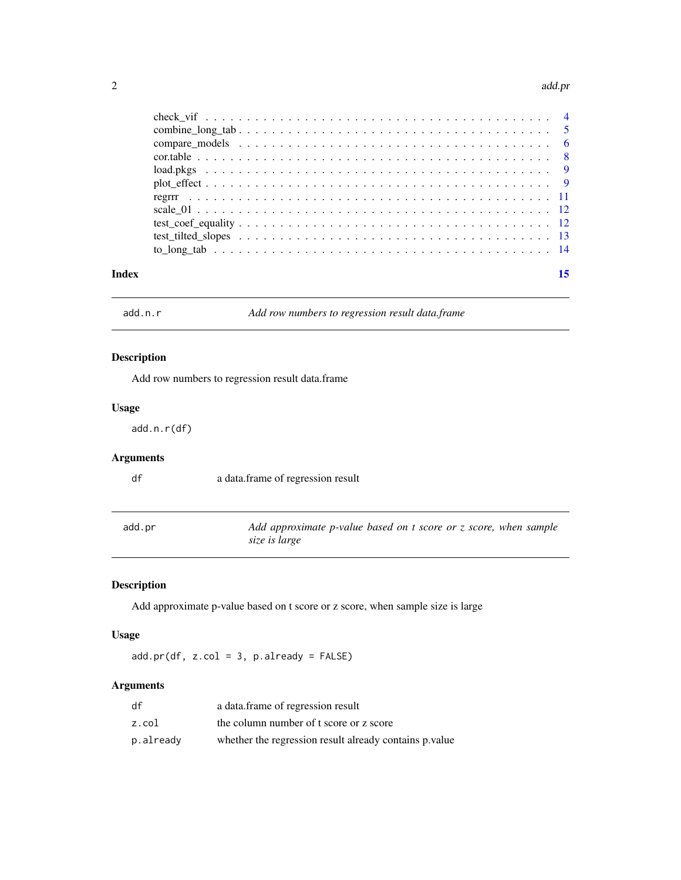#### <span id="page-1-0"></span> $2$  add.probability of  $\mathcal{L}$  and  $\mathcal{L}$  and  $\mathcal{L}$  and  $\mathcal{L}$  and  $\mathcal{L}$  and  $\mathcal{L}$  and  $\mathcal{L}$

| Index | 15 |
|-------|----|
|       |    |
|       |    |
|       |    |
|       |    |
|       |    |
|       |    |
|       |    |
|       |    |
|       |    |
|       |    |
|       |    |

add.n.r *Add row numbers to regression result data.frame*

#### Description

Add row numbers to regression result data.frame

#### Usage

add.n.r(df)

# Arguments

df a data.frame of regression result

| add.pr | Add approximate p-value based on t score or z score, when sample |
|--------|------------------------------------------------------------------|
|        | size is large                                                    |

# Description

Add approximate p-value based on t score or z score, when sample size is large

# Usage

 $add.pr(df, z,col = 3, p.already = FALSE)$ 

| df        | a data frame of regression result                      |
|-----------|--------------------------------------------------------|
| z.col     | the column number of t score or z score                |
| p.already | whether the regression result already contains p value |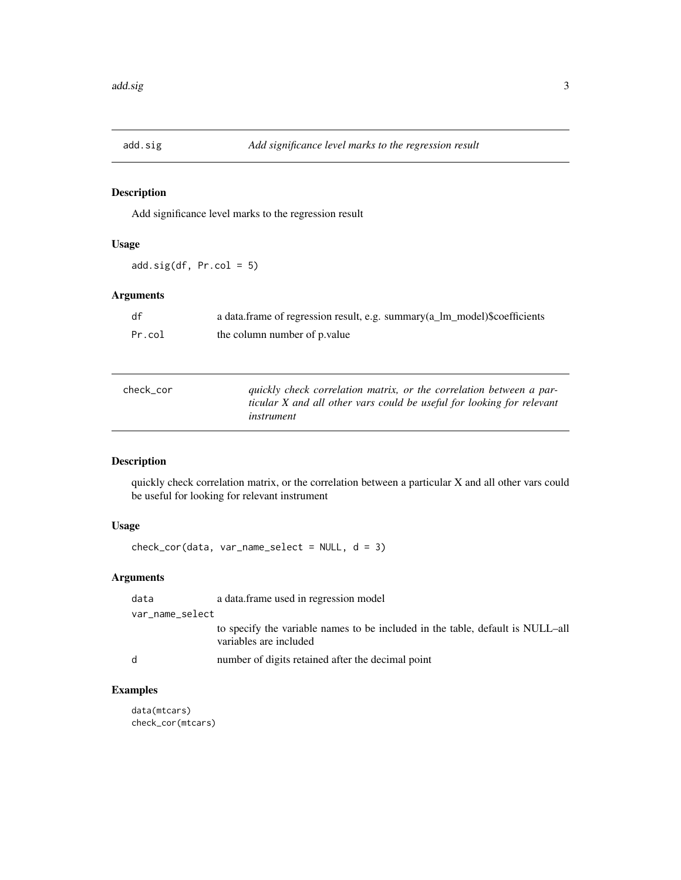<span id="page-2-0"></span>

Add significance level marks to the regression result

#### Usage

add.sig(df, Pr.col = 5)

#### Arguments

| df     | a data.frame of regression result, e.g. summary(a_lm_model)\$coefficients |
|--------|---------------------------------------------------------------------------|
| Pr.col | the column number of p. value                                             |

| check cor | quickly check correlation matrix, or the correlation between a par-   |
|-----------|-----------------------------------------------------------------------|
|           | ticular X and all other vars could be useful for looking for relevant |
|           | instrument                                                            |

#### Description

quickly check correlation matrix, or the correlation between a particular X and all other vars could be useful for looking for relevant instrument

# Usage

check\_cor(data, var\_name\_select = NULL, d = 3)

#### Arguments

| data            | a data.frame used in regression model                                                                    |
|-----------------|----------------------------------------------------------------------------------------------------------|
| var_name_select |                                                                                                          |
|                 | to specify the variable names to be included in the table, default is NULL-all<br>variables are included |
| <sub>d</sub>    | number of digits retained after the decimal point                                                        |

```
data(mtcars)
check_cor(mtcars)
```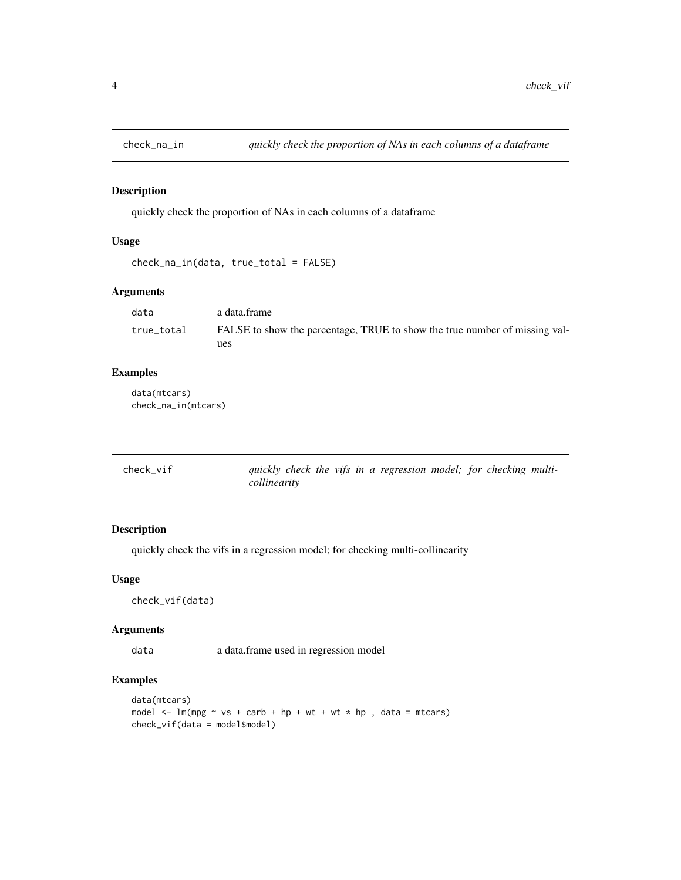<span id="page-3-0"></span>

quickly check the proportion of NAs in each columns of a dataframe

#### Usage

```
check_na_in(data, true_total = FALSE)
```
#### Arguments

| data       | a data frame                                                               |
|------------|----------------------------------------------------------------------------|
| true_total | FALSE to show the percentage, TRUE to show the true number of missing val- |
|            | ues                                                                        |

#### Examples

data(mtcars) check\_na\_in(mtcars)

| check_vif | quickly check the vifs in a regression model; for checking multi- |
|-----------|-------------------------------------------------------------------|
|           | collinearity                                                      |

### Description

quickly check the vifs in a regression model; for checking multi-collinearity

#### Usage

check\_vif(data)

#### Arguments

data a data.frame used in regression model

```
data(mtcars)
model \leq lm(mpg \sim vs + carb + hp + wt + wt * hp , data = mtcars)
check_vif(data = model$model)
```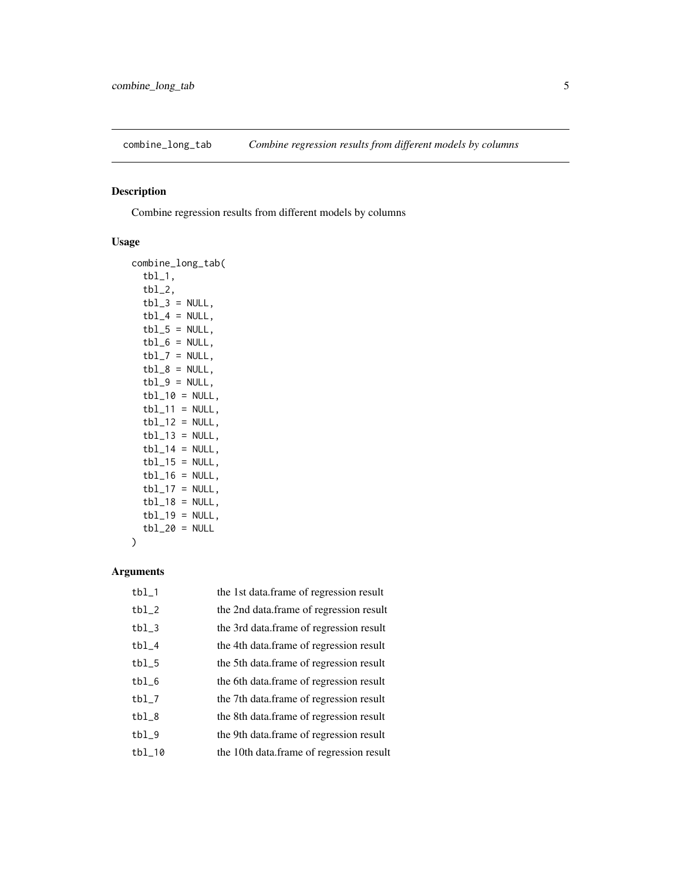<span id="page-4-0"></span>

Combine regression results from different models by columns

#### Usage

```
combine_long_tab(
  tbl_1,
  tbl_2,
  tbl_3 = NULL,tbl_4 = NULL,tbl_5 = NULL,tb1_6 = NULL,tb1_7 = NULL,
  tbl_8 = NULL,tbl_9 = NULL,tbl_10 = NULL,tbl_11 = NULL,tbl_12 = NULL,tb1_13 = NULL,tbl_14 = NULL,tbl_15 = NULL,tbl_16 = NULL,tbl_17 = NULL,tbl_18 = NULL,tbl_19 = NULL,tbl_20 = NULL)
```

| $tb1_1$  | the 1st data.frame of regression result  |
|----------|------------------------------------------|
| $tb1_2$  | the 2nd data.frame of regression result  |
| $tbl_3$  | the 3rd data.frame of regression result  |
| $tb1_4$  | the 4th data.frame of regression result  |
| $tb1_5$  | the 5th data.frame of regression result  |
| $tb1_6$  | the 6th data.frame of regression result  |
| $tb1_7$  | the 7th data.frame of regression result  |
| $tb1_8$  | the 8th data.frame of regression result  |
| $tb1_9$  | the 9th data.frame of regression result  |
| $tb1_10$ | the 10th data.frame of regression result |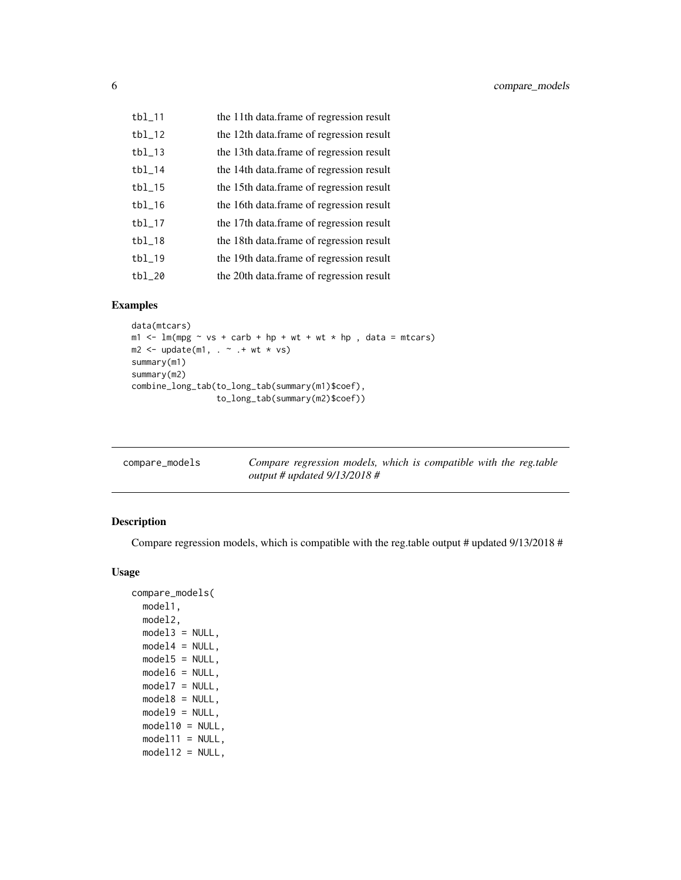<span id="page-5-0"></span>

| $tb1_11$ | the 11th data.frame of regression result |
|----------|------------------------------------------|
| $tb1_12$ | the 12th data.frame of regression result |
| $tb1_13$ | the 13th data.frame of regression result |
| $tb1_14$ | the 14th data.frame of regression result |
| $tb1_15$ | the 15th data.frame of regression result |
| $tb1_16$ | the 16th data.frame of regression result |
| $tb1_17$ | the 17th data.frame of regression result |
| $tb1_18$ | the 18th data.frame of regression result |
| $tb1_19$ | the 19th data.frame of regression result |
| $tb1_20$ | the 20th data.frame of regression result |

# Examples

```
data(mtcars)
m1 <- lm(mpg ~ vs + carb + hp + wt + wt * hp , data = mtcars)
m2 \leq update(m1, . \sim . + wt * vs)
summary(m1)
summary(m2)
combine_long_tab(to_long_tab(summary(m1)$coef),
                 to_long_tab(summary(m2)$coef))
```

| compare_models | Compare regression models, which is compatible with the reg.table |
|----------------|-------------------------------------------------------------------|
|                | output # updated $9/13/2018$ #                                    |

#### Description

Compare regression models, which is compatible with the reg.table output # updated 9/13/2018 #

#### Usage

```
compare_models(
 model1,
 model2,
 model3 = NULL,model4 = NULL,model5 = NULL,model6 = NULL,model7 = NULL,model8 = NULL,
 model9 = NULL,model10 = NULL,model11 = NULL,model12 = NULL,
```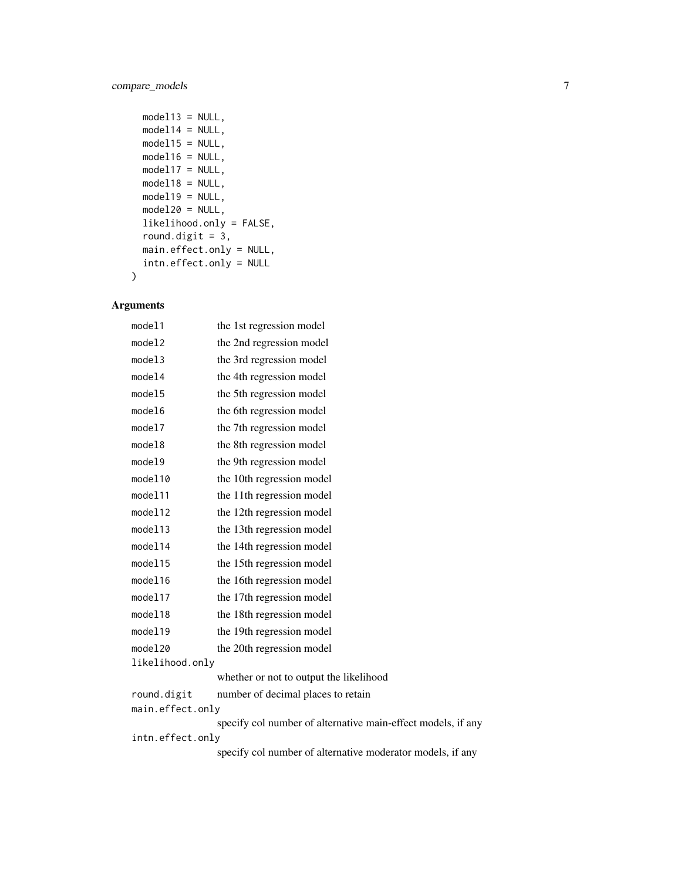```
model13 = NULL,model14 = NULL,model15 = NULL,model16 = NULL,model17 = NULL,model18 = NULL,model19 = NULL,model20 = NULL,likelihood.only = FALSE,
 round.digit = 3,
 main.effect.only = NULL,
 intn.effect.only = NULL
)
```

| model1           | the 1st regression model                                     |
|------------------|--------------------------------------------------------------|
| model2           | the 2nd regression model                                     |
| model3           | the 3rd regression model                                     |
| mode14           | the 4th regression model                                     |
| model5           | the 5th regression model                                     |
| model6           | the 6th regression model                                     |
| model7           | the 7th regression model                                     |
| mode18           | the 8th regression model                                     |
| model9           | the 9th regression model                                     |
| model10          | the 10th regression model                                    |
| mode111          | the 11th regression model                                    |
| model12          | the 12th regression model                                    |
| model13          | the 13th regression model                                    |
| model14          | the 14th regression model                                    |
| model15          | the 15th regression model                                    |
| model16          | the 16th regression model                                    |
| model17          | the 17th regression model                                    |
| model18          | the 18th regression model                                    |
| model19          | the 19th regression model                                    |
| model20          | the 20th regression model                                    |
| likelihood.only  |                                                              |
|                  | whether or not to output the likelihood                      |
| round.digit      | number of decimal places to retain                           |
| main.effect.only | specify col number of alternative main-effect models, if any |
| intn.effect.only |                                                              |
|                  | specify col number of alternative moderator models, if any   |
|                  |                                                              |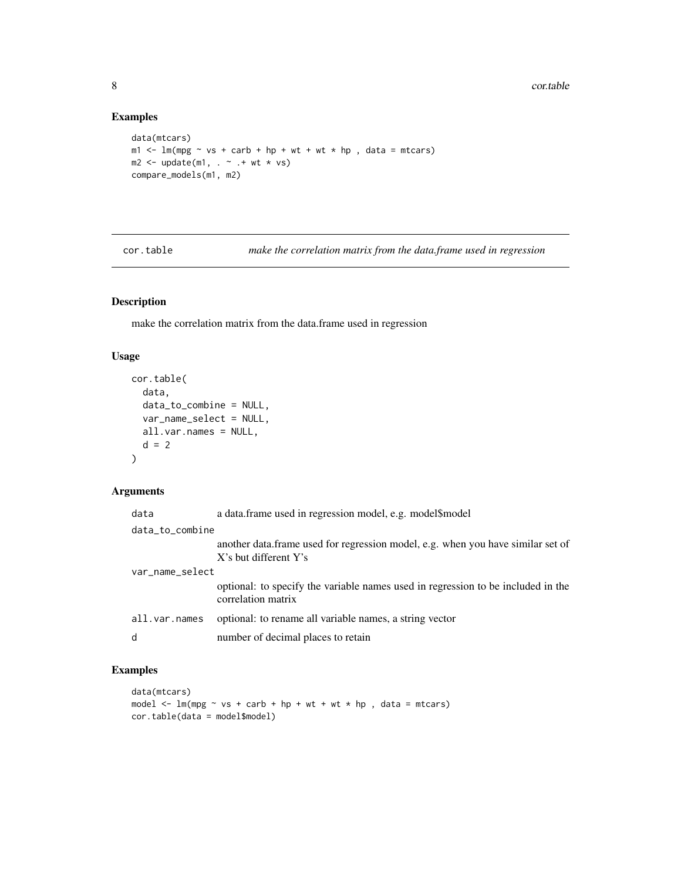### Examples

```
data(mtcars)
m1 <- lm(mpg ~ vs + carb + hp + wt + wt * hp , data = mtcars)
m2 \leq update(m1, . \sim . + wt * vs)
compare_models(m1, m2)
```
cor.table *make the correlation matrix from the data.frame used in regression*

#### Description

make the correlation matrix from the data.frame used in regression

#### Usage

```
cor.table(
  data,
 data_to_combine = NULL,
 var_name_select = NULL,
 all.var.names = NULL,
 d = 2)
```
#### Arguments

| data            | a data.frame used in regression model, e.g. model\$model                                                 |
|-----------------|----------------------------------------------------------------------------------------------------------|
| data_to_combine |                                                                                                          |
|                 | another data.frame used for regression model, e.g. when you have similar set of<br>X's but different Y's |
| var_name_select |                                                                                                          |
|                 | optional: to specify the variable names used in regression to be included in the<br>correlation matrix   |
| all.var.names   | optional: to rename all variable names, a string vector                                                  |
| d               | number of decimal places to retain                                                                       |

```
data(mtcars)
model \leq lm(mpg \sim vs + carb + hp + wt + wt * hp , data = mtcars)
cor.table(data = model$model)
```
<span id="page-7-0"></span>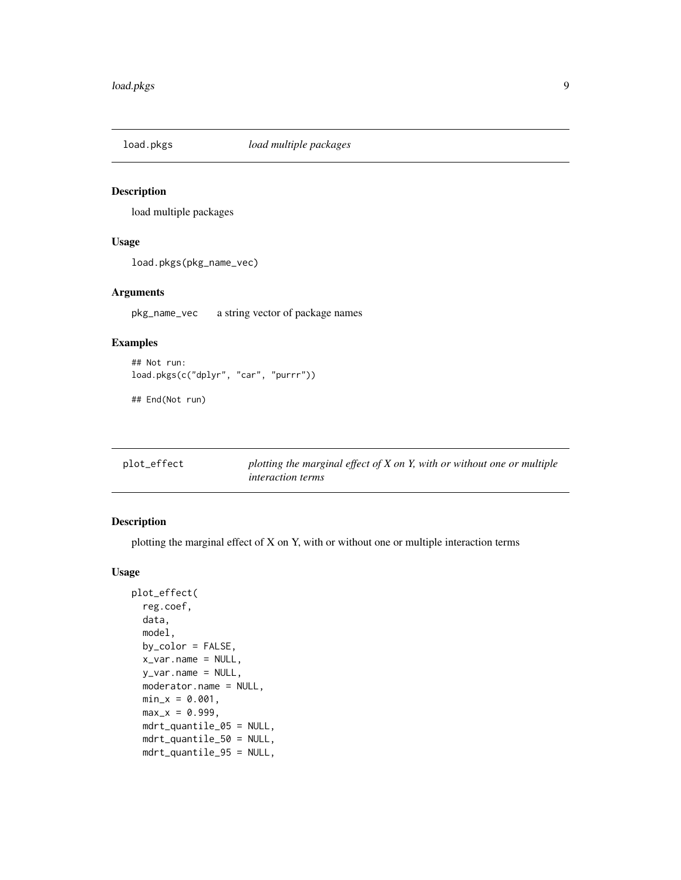<span id="page-8-0"></span>

load multiple packages

#### Usage

load.pkgs(pkg\_name\_vec)

#### Arguments

pkg\_name\_vec a string vector of package names

#### Examples

```
## Not run:
load.pkgs(c("dplyr", "car", "purrr"))
```
## End(Not run)

| plot_effect | plotting the marginal effect of $X$ on $Y$ , with or without one or multiple |
|-------------|------------------------------------------------------------------------------|
|             | <i>interaction terms</i>                                                     |

#### Description

plotting the marginal effect of X on Y, with or without one or multiple interaction terms

#### Usage

```
plot_effect(
  reg.coef,
  data,
 model,
 by_color = FALSE,
  x_var.name = NULL,
 y_var.name = NULL,
 moderator.name = NULL,
 min_x = 0.001,
 max_x = 0.999,
 mdrt_quantile_05 = NULL,
 mdrt_quantile_50 = NULL,
 mdrt_quantile_95 = NULL,
```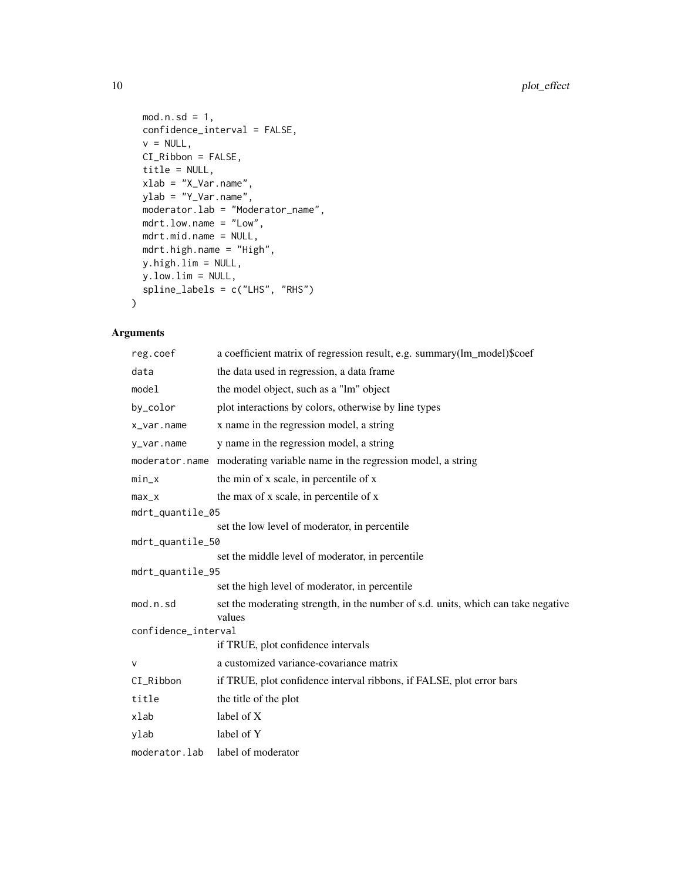```
mod.n.sd = 1,
 confidence_interval = FALSE,
 v = NULL,CI_Ribbon = FALSE,
 title = NULL,
 xlab = "X_Var.name",
 ylab = "Y_Var.name",
 moderator.lab = "Moderator_name",
 mdrt.low.name = "Low",
 mdrt.mid.name = NULL,
 mdrt.high.name = "High",
 y.high.lim = NULL,
 y.low.lim = NULL,
 spline_labels = c("LHS", "RHS")
)
```

| reg.coef            | a coefficient matrix of regression result, e.g. summary(lm_model)\$coef                     |
|---------------------|---------------------------------------------------------------------------------------------|
| data                | the data used in regression, a data frame                                                   |
| model               | the model object, such as a "lm" object                                                     |
| by_color            | plot interactions by colors, otherwise by line types                                        |
| x_var.name          | x name in the regression model, a string                                                    |
| y_var.name          | y name in the regression model, a string                                                    |
|                     | moderator.name moderating variable name in the regression model, a string                   |
| $min_x$             | the min of x scale, in percentile of x                                                      |
| $max_x$             | the max of x scale, in percentile of x                                                      |
| mdrt_quantile_05    |                                                                                             |
|                     | set the low level of moderator, in percentile                                               |
| mdrt_quantile_50    |                                                                                             |
|                     | set the middle level of moderator, in percentile                                            |
| mdrt_quantile_95    |                                                                                             |
|                     | set the high level of moderator, in percentile                                              |
| mod.n.sd            | set the moderating strength, in the number of s.d. units, which can take negative<br>values |
| confidence_interval |                                                                                             |
|                     | if TRUE, plot confidence intervals                                                          |
| v                   | a customized variance-covariance matrix                                                     |
| CI_Ribbon           | if TRUE, plot confidence interval ribbons, if FALSE, plot error bars                        |
| title               | the title of the plot                                                                       |
| xlab                | label of X                                                                                  |
| ylab                | label of Y                                                                                  |
| moderator.lab       | label of moderator                                                                          |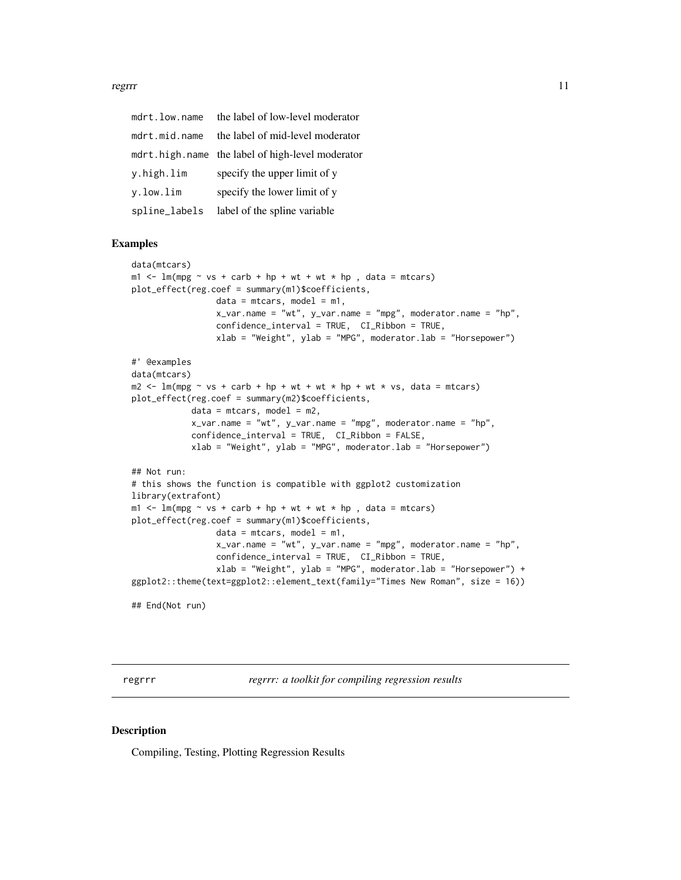#### <span id="page-10-0"></span>regrrr to the contract of the contract of the contract of the contract of the contract of the contract of the contract of the contract of the contract of the contract of the contract of the contract of the contract of the

| mdrt.low.name | the label of low-level moderator                 |
|---------------|--------------------------------------------------|
| mdrt.mid.name | the label of mid-level moderator                 |
|               | mdrt.high.name the label of high-level moderator |
| y.high.lim    | specify the upper limit of y                     |
| y.low.lim     | specify the lower limit of y                     |
| spline_labels | label of the spline variable                     |

#### Examples

```
data(mtcars)
m1 <- lm(mpg ~ vs + carb + hp + wt + wt * hp , data = mtcars)
plot_effect(reg.coef = summary(m1)$coefficients,
                 data = mtears, model = m1,x_var.name = "wt", y_var.name = "mpg", moderator.name = "hp",
                 confidence_interval = TRUE, CI_Ribbon = TRUE,
                 xlab = "Weight", ylab = "MPG", modern: lab = "Horsepower")#' @examples
data(mtcars)
m2 \leq Im(mpg \sim vs + carb + hp + wt + wt * hp + wt * vs. data = mtcars)plot_effect(reg.coef = summary(m2)$coefficients,
           data = mtears, model = m2,x_var.name = "wt", y_var.name = "mpg", moderator.name = "hp",
            confidence_interval = TRUE, CI_Ribbon = FALSE,
            xlab = "Weight", ylab = "MPG", moderator.lab = "Horsepower")
## Not run:
# this shows the function is compatible with ggplot2 customization
library(extrafont)
m1 <- lm(mpg ~ vs + carb + hp + wt + wt * hp , data = mtcars)
plot_effect(reg.coef = summary(m1)$coefficients,
                 data = mtcars, model = m1,x_var.name = "wt", y_var.name = "mpg", moderator.name = "hp",
                 confidence_interval = TRUE, CI_Ribbon = TRUE,
                 xlab = "Weight", ylab = "MPG", moderator.lab = "Horsepower") +
ggplot2::theme(text=ggplot2::element_text(family="Times New Roman", size = 16))
## End(Not run)
```
regrrr *regrrr: a toolkit for compiling regression results*

#### Description

Compiling, Testing, Plotting Regression Results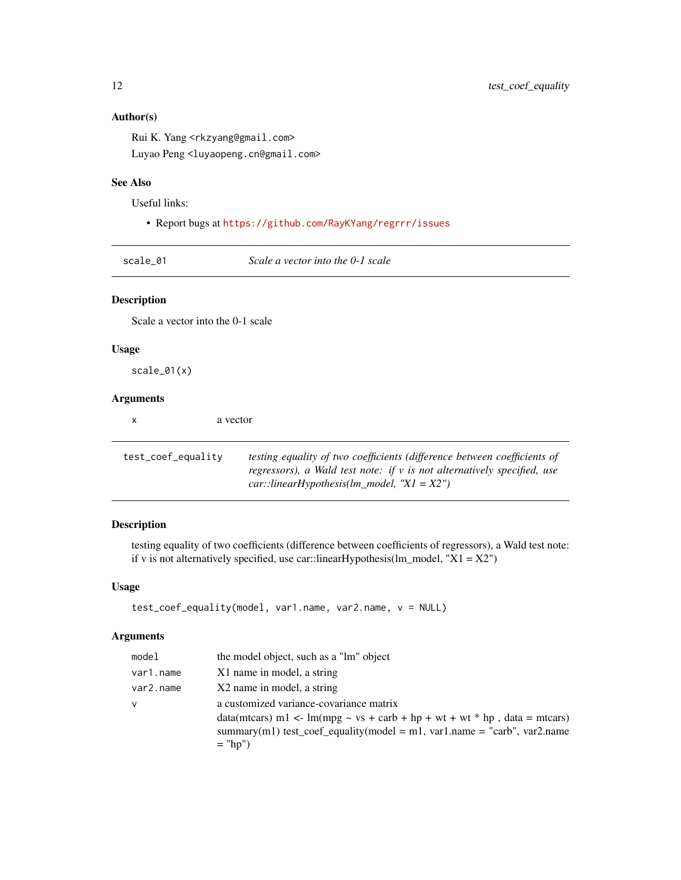#### Author(s)

Rui K. Yang <rkzyang@gmail.com> Luyao Peng <luyaopeng.cn@gmail.com>

#### See Also

Useful links:

• Report bugs at <https://github.com/RayKYang/regrrr/issues>

# Description

Scale a vector into the 0-1 scale

#### Usage

scale\_01(x)

#### Arguments

|                    | a vector                                                                                                                                                                                              |
|--------------------|-------------------------------------------------------------------------------------------------------------------------------------------------------------------------------------------------------|
| test_coef_equality | testing equality of two coefficients (difference between coefficients of<br>regressors), a Wald test note: if $v$ is not alternatively specified, use<br>$car::linearHypothesis(lm_model, "XI = X2")$ |

#### Description

testing equality of two coefficients (difference between coefficients of regressors), a Wald test note: if v is not alternatively specified, use car::linearHypothesis( $lm\_model$ , " $X1 = X2$ ")

#### Usage

```
test_coef_equality(model, var1.name, var2.name, v = NULL)
```

| model     | the model object, such as a "lm" object                                                                                                                              |
|-----------|----------------------------------------------------------------------------------------------------------------------------------------------------------------------|
| var1.name | X1 name in model, a string                                                                                                                                           |
| var2.name | X2 name in model, a string                                                                                                                                           |
| v         | a customized variance-covariance matrix                                                                                                                              |
|           | $data(mtcars)$ m1 <- lm(mpg ~ vs + carb + hp + wt + wt * hp, data = mtcars)<br>summary(m1) test_coef_equality(model = m1, var1.name = "carb", var2.name<br>$=$ "hp") |

<span id="page-11-0"></span>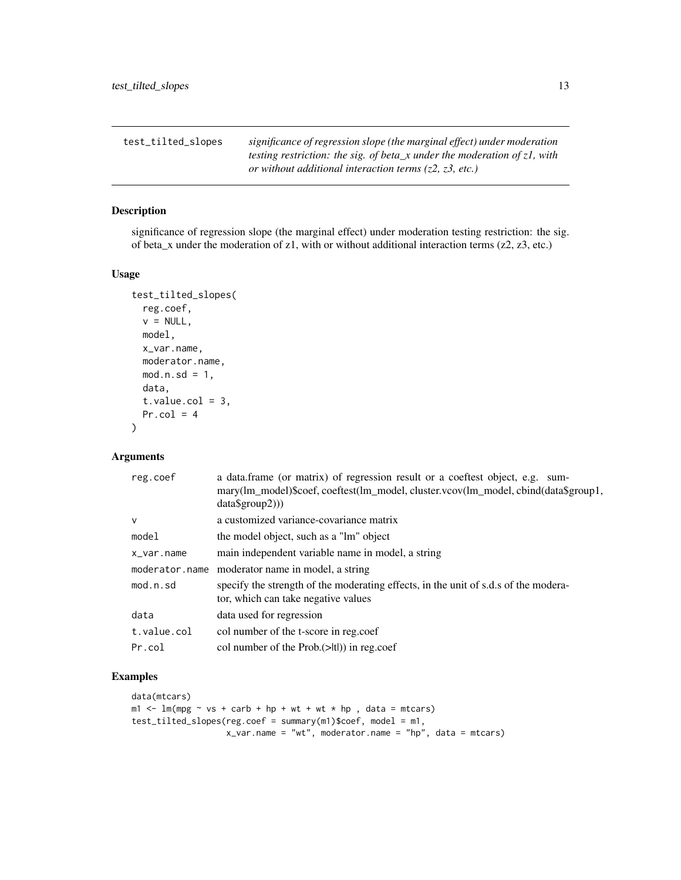<span id="page-12-0"></span>test\_tilted\_slopes *significance of regression slope (the marginal effect) under moderation testing restriction: the sig. of beta\_x under the moderation of z1, with or without additional interaction terms (z2, z3, etc.)*

#### Description

significance of regression slope (the marginal effect) under moderation testing restriction: the sig. of beta\_x under the moderation of z1, with or without additional interaction terms (z2, z3, etc.)

#### Usage

```
test_tilted_slopes(
  reg.coef,
  v = NULL,model,
  x_var.name,
 moderator.name,
 mod.n.sd = 1,
 data,
  t.value.col = 3,
 Pr.col = 4\mathcal{L}
```
#### Arguments

| reg.coef     | a data.frame (or matrix) of regression result or a coeftest object, e.g. sum-<br>mary(lm_model)\$coef, coeftest(lm_model, cluster.vcov(lm_model, cbind(data\$group1,<br>$data\$ {group2})) |
|--------------|--------------------------------------------------------------------------------------------------------------------------------------------------------------------------------------------|
| $\mathsf{V}$ | a customized variance-covariance matrix                                                                                                                                                    |
| model        | the model object, such as a "lm" object                                                                                                                                                    |
| x_var.name   | main independent variable name in model, a string                                                                                                                                          |
|              | moderator.name moderator name in model, a string                                                                                                                                           |
| mod.n.sd     | specify the strength of the moderating effects, in the unit of s.d.s of the modera-<br>tor, which can take negative values                                                                 |
| data         | data used for regression                                                                                                                                                                   |
| t.value.col  | col number of the t-score in reg.coef                                                                                                                                                      |
| Pr.col       | col number of the $Prob.(>  t ))$ in reg.coef                                                                                                                                              |

```
data(mtcars)
m1 <- lm(mpg \sim vs + carb + hp + wt + wt + hp), data = mtcars)
test_tilted_slopes(reg.coef = summary(m1)$coef, model = m1,
                   x_var.name = "wt", moderncode> mode = "hp", data = mtears)
```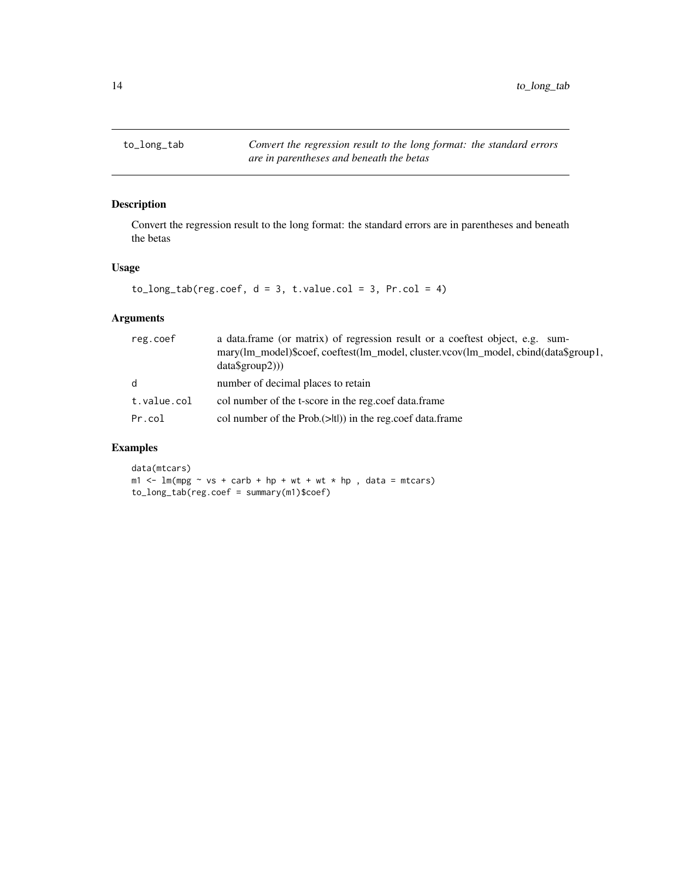<span id="page-13-0"></span>to\_long\_tab *Convert the regression result to the long format: the standard errors are in parentheses and beneath the betas*

# Description

Convert the regression result to the long format: the standard errors are in parentheses and beneath the betas

#### Usage

```
to\_long\_tab(reg.coef, d = 3, t.value.col = 3, Pr.col = 4)
```
# Arguments

| reg.coef     | a data.frame (or matrix) of regression result or a coeftest object, e.g. sum-       |
|--------------|-------------------------------------------------------------------------------------|
|              | mary(lm_model)\$coef, coeftest(lm_model, cluster.vcov(lm_model, cbind(data\$group1, |
|              | $data\$ {group2}))                                                                  |
| <sub>d</sub> | number of decimal places to retain                                                  |
| t.value.col  | col number of the t-score in the reg.coef data.frame                                |
| Pr.col       | col number of the $Prob.(>\mid t ))$ in the reg.coef data.frame                     |

# Examples

data(mtcars)  $m1 \leq - \ln(mpg \sim vs + carb + hp + wt + wt \times hp)$ , data = mtcars) to\_long\_tab(reg.coef = summary(m1)\$coef)